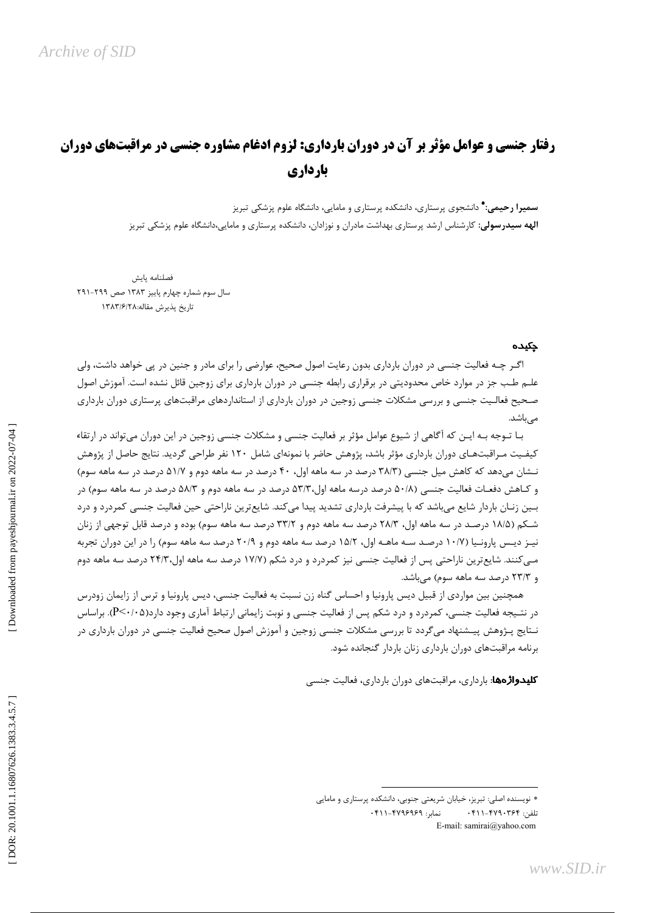# **رفتار جنسی و عوامل مؤثر بر آن در دوران بارداری: لزوم ادغام مشاوره جنسی در مراقبتهای دوران** بارداري

**سمیرا رحیمی:\*** دانشجوی پرستاری، دانشکده پرستاری و مامایی، دانشگاه علوم پزشکی تبریز **الهه سیدرسولی**: کارشناس ارشد پرستاری بهداشت مادران و نوزادان، دانشکده پرستاری و مامایی،دانشگاه علوم پزشکی تبریز

فصلنامه پايش سال سوم شماره چهارم پاییز ۱۳۸۳ صص ۲۹۹-۲۹۱ تاريخ يذيرش مقاله:١٣٨٣/٤/٢٨

#### چکیده

اگـر چـه فعالیت جنسی در دوران بارداری بدون رعایت اصول صحیح، عوارضی را برای مادر و جنین در پی خواهد داشت، ولی علـم طـب جز در موارد خاص محدودیتی در برقراری رابطه جنسی در دوران بارداری برای زوجین قائل نشده است. آموزش اصول صـحیح فعالـیت جنسی و بررسی مشکلات جنسی زوجین در دوران بارداری از استانداردهای مراقبتهای پرستاری دوران بارداری مے باشد.

بـا تـوجه بـه ايـن كه آگاهي از شيوع عوامل مؤثر بر فعاليت جنسي و مشكلات جنسي زوجين در اين دوران ميتواند در ارتقاء کیفـیت مـراقبتهـای دوران بارداری مؤثر باشد، پژوهش حاضر با نمونهای شامل ۱۲۰ نفر طراحی گردید. نتایج حاصل از پژوهش نـشان می،دهد که کاهش میل جنسی (۳۸/۳ درصد در سه ماهه اول، ۴۰ درصد در سه ماهه دوم و ۵۱/۷ درصد در سه ماهه سوم) و کـاهش دفعـات فعالیت جنسی (۵۰/۸ درصد درسه ماهه اول،۵۳/۳ درصد در سه ماهه دوم و ۵۸/۳ درصد در سه ماهه سوم) در بـین زنـان باردار شایع می،باشد که با پیشرفت بارداری تشدید پیدا میکند. شایعترین ناراحتی حین فعالیت جنسی کمردرد و درد شـكم (۱۸/۵ درصـد در سه ماهه اول، ۲۸/۳ درصد سه ماهه دوم و ۳۳/۲ درصد سه ماهه سوم) بوده و درصد قابل توجهي از زنان نیز دیسی پارونیا (۱۰/۷ درصـد سـه ماهـه اول، ۱۵/۲ درصد سه ماهه دوم و ۲۰/۹ درصد سه ماهه سوم) را در این دوران تجربه مـی کنند. شایع ترین ناراحتی پس از فعالیت جنسی نیز کمردرد و درد شکم (۱۷/۷ درصد سه ماهه اول،۲۴/۳ درصد سه ماهه دوم و ۲۳/۳ درصد سه ماهه سوم) می باشد.

همچنین بین مواردی از قبیل دیس پارونیا و احساس گناه زن نسبت به فعالیت جنسی، دیس پارونیا و ترس از زایمان زودرس در نتـیجه فعالیت جنسی، کمردرد و درد شکم پس از فعالیت جنسی و نوبت زایمانی ارتباط آماری وجود دارد(P<۰/۰۵). براساس نـتايج پـژوهش پيـشنهاد مى۶ردد تا بررسى مشكلات جنسى زوجين و آموزش اصول صحيح فعاليت جنسى در دوران باردارى در برنامه مراقبتهای دوران بارداری زنان باردار گنجانده شود.

**کلیدواژهها**: بارداری، مراقبتهای دوران بارداری، فعالیت جنسی

<sup>\*</sup> نویسنده اصلی: تبریز، خیابان شریعتی جنوبی، دانشکده پرستاری و مامایی نمایر: ۴۷۹۶۹۶۹-۰۴۱۱ تلفن: ۴۲۹۰۳۶۴–۲۱۱ ۰۴۱۱ E-mail: samirai@yahoo.com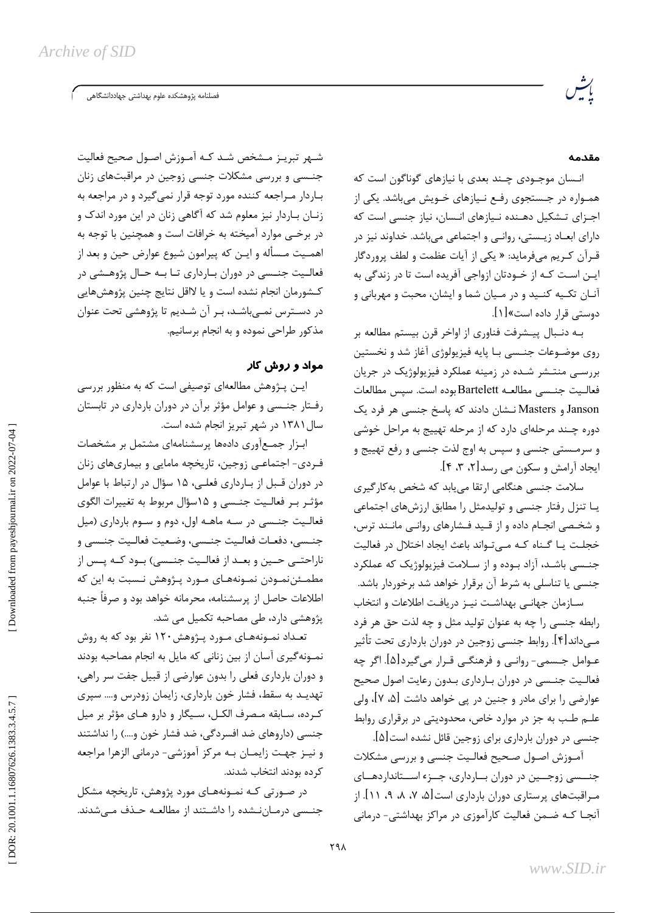.<br>فصلنامه پژوهشکده علوم بهداشتی جهاددانشگاهی

## مقدمه

انـسان موجـودي چـند بعدي با نيازهاي گوناگون است كه همـواره در جـستجوی رفـع نـیازهای خـویش میباشد. یکی از اجـزای تـشکیل دهـنده نـیازهای انـسان، نیاز جنسی است که دارای ابعـاد زیـستی، روانـی و اجتماعی میباشد. خداوند نیز در قـرآن كـريم مىفرمايد: « يكى از آيات عظمت و لطف پروردگار ایـن اسـت کـه از خـودتان ازواجی آفریده است تا در زندگی به آنـان تكـيه كنـيد و در مـيان شما و ايشان، محبت و مهرباني و دوستی قرار داده است»[۱].

بـه دنـبال پيـشرفت فناوري از اواخر قرن بيستم مطالعه بر روی موضـوعات جنـسی بـا پایه فیزیولوژی آغاز شد و نخستین بررسی منتشر شده در زمینه عملکرد فیزیولوژیک در جریان فعاليت جنسي مطالعه Bartelett بوده است. سپس مطالعات Janson و Masters نـشان دادند که پاسخ جنسی هر فرد یک دوره چـند مرحلهای دارد که از مرحله تهییج به مراحل خوشی و سرمـستي جنسي و سپس به اوج لذت جنسي و رفع تهييج و ايجاد آرامش و سكون مي رسد[۲، ۳، ۴].

سلامت جنسی هنگامی ارتقا می یابد که شخص به کار گیری یـا تنزل رفتار جنسی و تولیدمثل را مطابق ارزشهای اجتماعی و شخـصی انجـام داده و از قـید فـشارهای روانـی مانـند ترس، خجلت یا گناه کـه مـی تـواند باعث ایجاد اختلال در فعالیت جنسی باشد، آزاد بوده و از سلامت فیزیولوژیک که عملکرد جنسی یا تناسلی به شرط آن برقرار خواهد شد برخوردار باشد.

سـازمان جهانـي بهداشـت نيـز دريافـت اطلاعات و انتخاب رابطه جنسی را چه به عنوان تولید مثل و چه لذت حق هر فرد مـهادادا۴]. روابط جنسي زوجين در دوران بارداري تحت تأثير عـوامل جـسمي- روانـي و فرهنگـي قـرار مي¢يرد[۵]. اگر چه فعالیت جنسی در دوران بارداری بدون رعایت اصول صحیح عوارضی را برای مادر و جنین در پی خواهد داشت [۵، ۷]، ولی علـم طـب به جز در موارد خاص، محدودیتی در برقراری روابط جنسی در دوران بارداری برای زوجین قائل نشده است[۵].

آمـوزش اصـول صـحيح فعالـيت جنسى و بررسى مشكلات جنسسی زوجسین در دوران بسارداری، جسزء اسستانداردهسای مراقبتهای پرستاری دوران بارداری است [۵، ۷، ۸، ۹، ۱۱]. از .<br>آنجـا کـه ضـمن فعالیت کارآموزی در مراکز بهداشتی- درمانی

شـهر تبريـز مـشخص شـد كـه آمـوزش اصـول صحيح فعاليت جنــسی و بررسی مشکلات جنسی زوجین در مراقبتهای زنان بـاردار مـراجعه کننده مورد توجه قرار نمی گیرد و در مراجعه به زنـان بـاردار نيز معلوم شد كه آگاهي زنان در اين مورد اندک و در برخـی موارد آمیخته به خرافات است و همچنین با توجه به اهمـيت مـسأله و ايـن كه پيرامون شيوع عوارض حين و بعد از فعالیت جنسی در دوران بارداری تا به حال پژوهشی در كـشورمان انجام نشده است و يا لااقل نتايج چنين پژوهشهايي در دسـترس نمـیباشـد، بـر آن شـدیم تا پژوهشی تحت عنوان مذکور طراحی نموده و به انجام برسانیم.

## مواد و روش کا*ر*

ایــن پــژوهش مطالعهای توصیفی است که به منظور بررسی رفتار جنسی و عوامل مؤثر برآن در دوران بارداری در تابستان سال ۱۳۸۱ در شهر تبریز انجام شده است.

ابزار جمعآوری دادهها پرسشنامهای مشتمل بر مشخصات فـردی- اجتماعـی زوجین، تاریخچه مامایی و بیماریهای زنان در دوران قـبل از بـارداري فعلـي، ۱۵ سؤال در ارتباط با عوامل مؤثـر بـر فعالـيت جنـسى و ۱۵سؤال مربوط به تغييرات الگوى فعالیت جنسی در سه ماهـه اول، دوم و سـوم بارداری (میل جنسي، دفعـات فعالـيت جنـسي، وضـعيت فعالـيت جنـسى و ناراحتــي حــين و بعــد از فعالــيت جنــسي) بــود كــه پــس از مطمـئننمـودن نمـونههـاى مـورد پـژوهش نـسبت به اين كه اطلاعات حاصل از پرسشنامه، محرمانه خواهد بود و صرفاً جنبه پژوهشی دارد، طی مصاحبه تکمیل می شد.

تعـداد نمـونههـای مـورد پـژوهش۱۲۰ نفر بود که به روش نمـونهگیری آسان از بین زنانی که مایل به انجام مصاحبه بودند و دوران بارداری فعلی را بدون عوارضی از قبیل جفت سر راهی، تهدیـد به سقط، فشار خون بارداری، زایمان زودرس و… سپری كـرده، سـابقه مـصرف الكـل، سـيگار و دارو هـاى مؤثر بر ميل جنسی (داروهای ضد افسردگی، ضد فشار خون و....) را نداشتند و نيـز جهـت زايمـان بـه مركز آموزشي- درماني الزهرا مراجعه کرده بودند انتخاب شدند.

در صـورتی کـه نمـونههـای مورد پژوهش، تاریخچه مشکل جنـسی درمـانِنـشده را داشـتند از مطالعـه حـذف مـیشدند.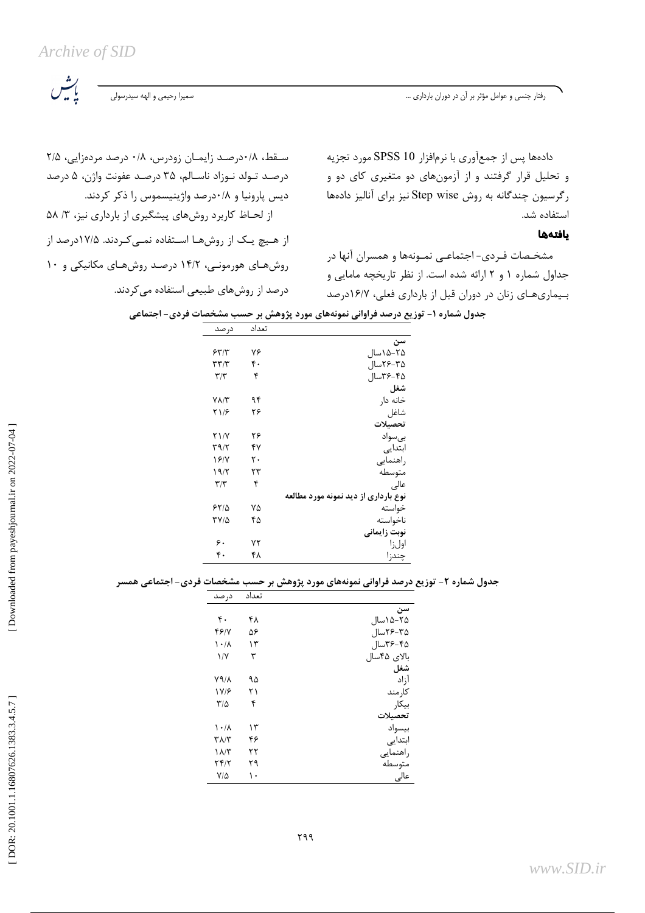ىش<br>باش

رفتار جنسی و عوامل مؤثر بر آن در دوران بارداری ...

سقط، ۰/۸درصد زایمان زودرس، ۰/۸ درصد مردهزایی، ۲/۵ درصد تـولد نـوزاد ناسـالم، ۳۵ درصـد عفونت واژن، ۵ درصد ديس يارونيا و ٠/٨درصد واژينيسموس را ذكر كردند. از لحاظ کاربرد روشهای پیشگیری از بارداری نیز، ۳/ ۵۸ از هیچ یک از روشها استفاده نمی کردند. ۱۷/۵درصد از روشهای هورمونی، ۱۴/۲ درصد روشهای مکانیکی و ۱۰ درصد از روشهای طبیعی استفاده می کردند.

دادهها پس از جمعآوری با نرمافزار SPSS 10 مورد تجزیه و تحلیل قرار گرفتند و از آزمونهای دو متغیری کای دو و رگرسيون چندگانه به روش Step wise نيز براي آناليز دادهها استفاده شد.

## بافتهها

مشخـصات فـردی- اجتماعـی نمـونهها و همسران آنها در جداول شماره ۱ و ۲ ارائه شده است. از نظر تاریخچه مامایی و بیماری های زنان در دوران قبل از بارداری فعلی، ۱۶/۷درصد

| در صد                   | تعداد |                                      |
|-------------------------|-------|--------------------------------------|
|                         |       | سن                                   |
| ۶۳/۳                    | ٧۶    | ۲۵–۱۵۵سال                            |
| ۳۳/۳                    | ۴.    | ۳۵–۲۶سال                             |
| $\mathbf{r}/\mathbf{r}$ | ۴     | ۴۵–۳۶سال                             |
|                         |       | شغل                                  |
| ۷۸/۳                    | ۹۴    | خانه دا,                             |
| ۲۱۶                     | ۲۶    | شاغل                                 |
|                         |       | تحصىلات                              |
| ۲۱/۷                    | ۲۶    | بىسواد                               |
| ۳۹/۲                    | ۴۷    | ابتدایی                              |
| ۱۶/۷                    | ٢٠    | , اهنمایے                            |
| ۱۹/۲                    | ۲۳    | متوسطه                               |
| ۳/۳                     | ۴     | عالى                                 |
|                         |       | نوع بارداری از دید نمونه مورد مطالعه |
| ۶۲۱۵                    | ٧۵    | خواسته                               |
| 3177                    | ۴۵    | ناخواسته                             |
|                         |       | نوبت زايماني                         |
| ۶.                      | ۷۲    | اولزا                                |
| ۴٠                      | ۴۸    | چند;ا                                |

جدول شماره ۱- توزیع درصد فراوانی نمونههای مورد پژوهش بر حسب مشخصات فردی- اجتماعی

جدول شماره ۲- توزیع درصد فراوانی نمونههای مورد پژوهش بر حسب مشخصات فردی- اجتماعی همسر

| در صد                     | تعداد |             |
|---------------------------|-------|-------------|
|                           |       | سن          |
| ۴٠                        | ۴۸    | ۲۵–۱۵۵سال   |
| 4617                      | ۵۶    | ۲۵–۲۶سال    |
| $\lambda \cdot / \lambda$ | ۱۳    | ۴۵–۳۶سال    |
| $\frac{1}{\sqrt{2}}$      | ٣     | بالای ۴۵سال |
|                           |       | شغل         |
| ۷۹/۸                      | ٩۵    | آزاد        |
| 1 V/F                     | ۲۱    | كار مند     |
| $\frac{1}{2}$             | ۴     | ىىكا,       |
|                           |       | تحصيلات     |
| $\lambda \cdot / \lambda$ | ۱۳    | بيسواد      |
| ۳۸/۳                      | ۴۶    | ابتدایی     |
| $\lambda/\tau$            | ۲۲    | راهنمایی    |
| Yf/Y                      | ۲۹    | متوسطه      |
| $V/\Delta$                | ١٠    | عالى        |

Downloaded from payeshjournal.ir on 2022-07-04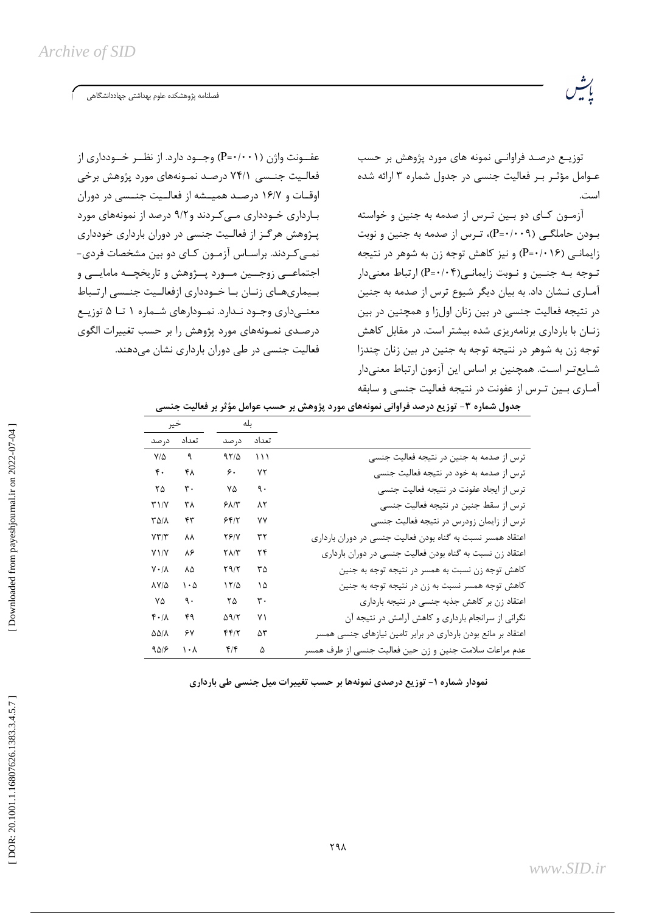فصلنامه پژوهشكده علوم بهداشتى جهاددانشگاهى

توزیــع درصـد فراوانــی نمونه های مورد پژوهش بر حسب عـوامل مؤثـر بـر فعاليت جنسى در جدول شماره ٣ ارائه شده است.

آزمـون كـاى دو بـين تـرس از صدمه به جنين و خواسته بودن حاملگے (P=٠/٠٠٩)، تـرس از صدمه به جنین و نوبت زایمانی (۱۶+۰-P) و نیز کاهش توجه زن به شوهر در نتیجه توجه بـه جنـين و نـوبت زايمانـي(P=٠/٠۴) ارتباط معنى دار آمـاري نــشان داد. به بيان ديگر شيوع ترس از صدمه به جنين در نتیجه فعالیت جنسی در بین زنان اولزا و همچنین در بین زنیان با بارداری برنامهریزی شده بیشتر است. در مقابل کاهش توجه زن به شوهر در نتیجه توجه به جنین در بین زنان چندزا شـايعتـر اسـت. همچنين بر اساس اين آزمون ارتباط معنىدار آمـاري بـين تـرس از عفونت در نتيجه فعاليت جنسي و سابقه

عفــونت واژن (P=٠/٠٠١) وجــود دارد. از نظــر خــودداری از فعالیت جنسی ۷۴/۱ درصد نمـونههای مورد پژوهش برخی اوقيات و ١۶/٧ درصيد همييشه از فعاليت جنيسي در دوران بـارداری خـودداری مــی کـردند و۹/۲ درصد از نمونههای مورد یـژوهش هرگـز از فعالـیت جنسی در دوران بارداری خودداری نمـی کـردند. براسـاس آزمـون کـای دو بین مشخصات فردی-اجتماعــی زوجــین مــورد پــژوهش و تاریخچــه مامایــی و بییماری های زنبان بیا خیودداری ازفعالیت جنسبی ارتیباط معنے داری وجـود نـدارد. نمـودارهای شـماره ١ تــا ۵ توزیــع درصدی نمـونههای مورد پژوهش را بر حسب تغییرات الگوی فعالیت جنسی در طی دوران بارداری نشان میدهند.

| خير                  |       | بله              |                |                                                              |
|----------------------|-------|------------------|----------------|--------------------------------------------------------------|
| در صد                | تعداد | درصد             | تعداد          |                                                              |
| $V/\Delta$           | ٩     | 9510             | $\binom{1}{1}$ | ترس از صدمه به جنین در نتیجه فعالیت جنسی                     |
| ۴۰                   | ۴۸    | ۶.               | ۷٢             | ترس از صدمه به خود در نتیجه فعالیت جنسی                      |
| ٢۵                   | ٣٠    | ٧۵               | ٩.             | ترس از ایجاد عفونت در نتیجه فعالیت جنسی                      |
| T1/Y                 | ۳۸    | ۶۸۱۳             | ۸۲             | ترس از سقط جنین در نتیجه فعالیت جنسی                         |
| <b>TAIA</b>          | ۴۳    | ۶۴۱۲             | ۷۷             | ترس از زایمان زودرس در نتیجه فعالیت جنسی                     |
| $Y\Upsilon/\Upsilon$ | ۸۸    | 75/Y             | ٣٢             | اعتقاد همسر نسبت به گناه بودن فعالیت جنسی در دوران بارداری   |
| $Y \setminus / Y$    | ۸۶    | <b>T</b> 1/ T    | ۲۴             | اعتقاد زن نسبت به گناه بودن فعالیت جنسی در دوران بارداری     |
| $V \cdot / \Lambda$  | ٨۵    | ۲۹/۲             | ۳۵             | كاهش توجه زن نسبت به همسر در نتيجه توجه به جنين              |
| <b>AY/4</b>          | ۱۰۵   | 17/2             | ۱۵             | كاهش توجه همسر نسبت به زن در نتيجه توجه به جنين              |
| ٧۵                   | ٩.    | ۲۵               | ٣٠             | اعتقاد زن بر كاهش جذبه جنسى در نتيجه باردارى                 |
| $f \cdot / \Lambda$  | ۴۹    | 59/7             | ۷١             | نگرانی از سرانجام بارداری و کاهش آرامش در نتیجه آن           |
| <b><i>DDIA</i></b>   | ۶۷    | 4412             | ۵٣             | اعتقاد بر مانع بودن بارداری در برابر تامین نیازهای جنسی همسر |
| 9418                 | ۱۰۸   | $f/\mathfrak{f}$ | ۵              | عدم مراعات سلامت جنین و زن حین فعالیت جنسی از طرف همسر       |

جدول شماره ۳- توزیع درصد فراوانی نمونههای مورد پژوهش بر حسب عوامل مؤثر بر فعالیت جنسی

نمودار شماره ۱- توزیع درصدی نمونهها بر حسب تغییرات میل جنسی طی بارداری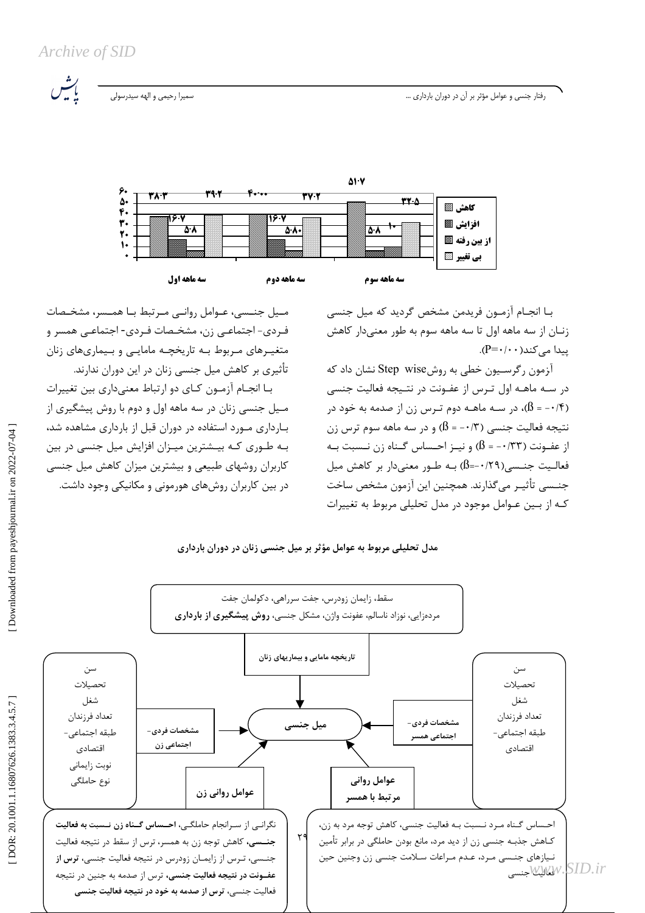Archive of SID

رفتار جنسی و عوامل مؤثر بر آن در دوران بارداری ...

.<br>سميرا رحيمي و الهه سيدرسولي



بـا انجـام آزمـون فريدمن مشخص گرديد كه ميل جنسي زنـان از سه ماهه اول تا سه ماهه سوم به طور معنىدار كاهش  $(P = \cdot / \cdot \cdot)$ ییدا مے کند

آزمون رگرسیون خطی به روشStep wise نشان داد که در سـه ماهــه اول تـرس از عفــونت در نتــیجه فعالیت جنسی (۱۴ - = B)، در سـه ماهـه دوم تـرس زن از صدمه به خود در نتيجه فعاليت جنسي (١٣- = B) و در سه ماهه سوم ترس زن از عفـونت (۱۳۳– = B) و نیـز احـساس گـناه زن نـسبت بـه فعاليت جنـسي(٢٩/٠-=9) بـه طـور معنىدار بر كاهش ميل جنــسي تأثيــر مي گذارند. همچنين اين آزمون مشخص ساخت کـه از بــین عـوامل موجود در مدل تحلیلی مربوط به تغییرات

میل جنسی، عـوامل روانـی مـرتبط بـا همـسر، مشخـصات فـردي- اجـتماعـي زن، مشخـصات فـردي- اجـتماعـي همسر و متغیـرهای مـربوط بـه تاریخچـه مامایـی و بـیماریهای زنان تأثیری بر کاهش میل جنسی زنان در این دوران ندارند.

با انجام آزمون كاي دو ارتباط معنىداري بين تغييرات مـيل جنسي زنان در سه ماهه اول و دوم با روش پيشگيري از بـارداری مـورد استفاده در دوران قبل از بارداری مشاهده شد، بـه طـوری کـه بیـشترین میـزان افزایش میل جنسی در بین کاربران روشهای طبیعی و بیشترین میزان کاهش میل جنسی در بین کاربران روشهای هورمونی و مکانیکی وجود داشت.

## مدل تحلیلی مربوط به عوامل مؤثر بر میل جنسی زنان در دوران بارداری

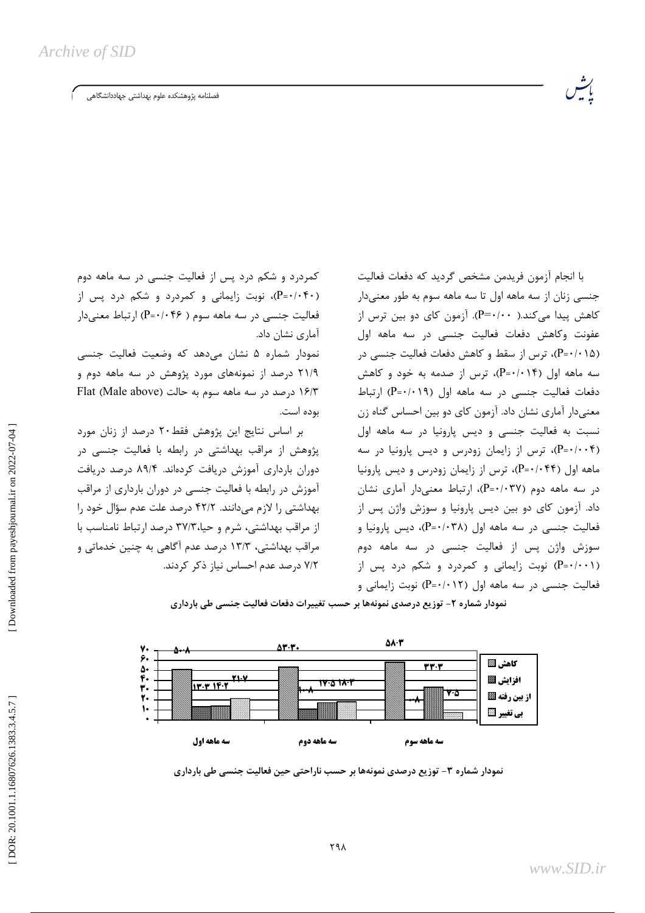فصلنامه پژوهشكده علوم بهداشتى جهاددانشگاهى

کمردرد و شکم درد پس از فعالیت جنسی در سه ماهه دوم (۴۰-۰/۰۴۰)، نوبت زایمانی و کمردرد و شکم درد پس از فعالیت جنسی در سه ماهه سوم ( P=٠/٠۴۶) ارتباط معنی دار آماری نشان داد.

نمودار شماره ۵ نشان می۵هد که وضعیت فعالیت جنسی ۲۱/۹ درصد از نمونههای مورد پژوهش در سه ماهه دوم و ۱۶/۳ درصد در سه ماهه سوم به حالت (Male above) بوده است.

بر اساس نتایج این پژوهش فقط۲۰ درصد از زنان مورد پژوهش از مراقب بهداشتی در رابطه با فعالیت جنسی در دوران بارداری آموزش دریافت کردهاند. ۸۹/۴ درصد دریافت آموزش در رابطه با فعالیت جنسی در دوران بارداری از مراقب بهداشتی ,ا لازم می دانند. ۴۲/۲ درصد علت عدم سؤال خود ,ا از مراقب بهداشتی، شرم و حیا، ۳۷/۳ درصد ارتباط نامناسب با مراقب بهداشتی، ۱۳/۳ درصد عدم آگاهی به چنین خدماتی و ٧/٢ درصد عدم احساس نياز ذكر كردند.

با انجام آزمون فريدمن مشخص گرديد كه دفعات فعاليت جنسی زنان از سه ماهه اول تا سه ماهه سوم به طور معنی دار کاهش پیدا می *ک*ند.( P=۰/۰۰). آزمون کای دو بین ترس از عفونت وكاهش دفعات فعاليت جنسى در سه ماهه اول (P=٠/٠١۵)، ترس از سقط و کاهش دفعات فعالیت جنسی در سه ماهه اول (۴/۰۱۴-P)، ترس از صدمه به خود و کاهش دفعات فعالیت جنسی در سه ماهه اول (P=٠/٠١٩) ارتباط معنیدار آماری نشان داد. آزمون کای دو بین احساس گناه زن نسبت به فعالیت جنسی و دیس پارونیا در سه ماهه اول (P=٠/٠٠۴)، ترس از زایمان زودرس و دیس پارونیا در سه ماهه اول (۴۴+۶۰+P)، ترس از زایمان زودرس و دیس پارونیا در سه ماهه دوم (P=٠/٠٣٧)، ارتباط معنى دار آمارى نشان داد. آزمون کای دو بین دیس پارونیا و سوزش واژن پس از فعالیت جنسی در سه ماهه اول (P=٠/٠٣٨)، دیس پارونیا و سوزش واژن پس از فعالیت جنسی در سه ماهه دوم (P=٠/٠٠۱) نوبت زایمانی و کمردرد و شکم درد پس از فعالیت جنسی در سه ماهه اول (P=۰/۰۱۲) نوبت زایمانی و

نمودار شماره ۲- توزیع درصدی نمونهها بر حسب تغییرات دفعات فعالیت جنسی طی بارداری



نمودار شماره ۳- توزیع درصدی نمونهها بر حسب ناراحتی حین فعالیت جنسی طی بارداری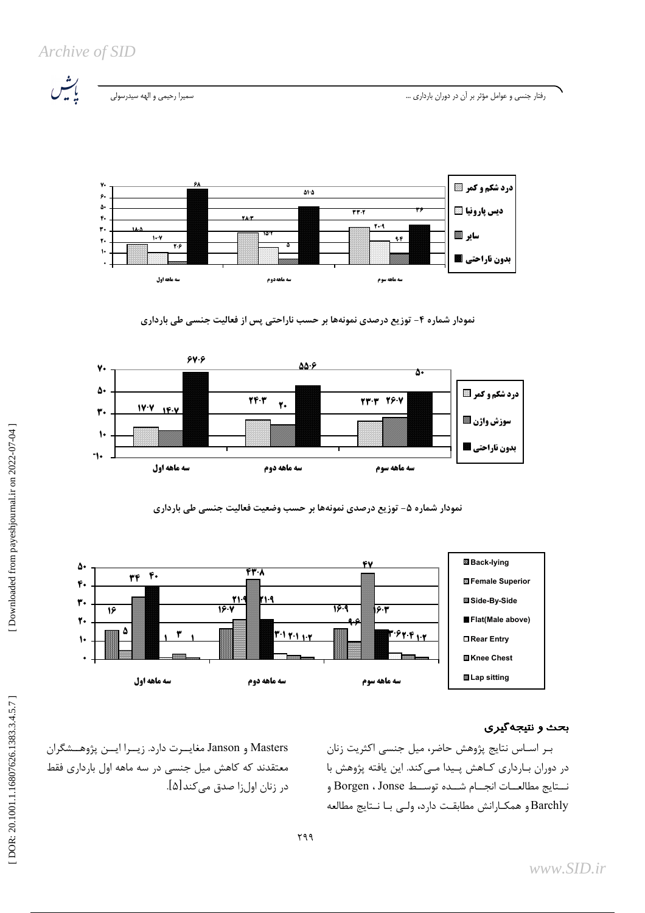Archive of SID



.<br>سميرا رحيمي و الهه سيدرسولي

رفتار جنسی و عوامل مؤثر بر آن در دوران بارداری ...







نمودار شماره ۵- توزیع درصدی نمونهها بر حسب وضعیت فعالیت جنسی طی بارداری



### بحث و نتیجه گیری

بـر اسـاس نتايج پژوهش حاضر، ميل جنسى اكثريت زنان در دوران بارداری کـاهش پـیدا مـیکند. این یافته پژوهش با نستايج مطالعـات انجــام شــده توســط Borgen ، Jonse و Barchly و همكـارانش مطابقـت دارد، ولـى بـا نـتايج مطالعه

Masters و Janson مغايسرت دارد. زيسرا ايسن پژوهسشگران معتقدند که کاهش میل جنسی در سه ماهه اول بارداری فقط در زنان اولزا صدق میکند[۵].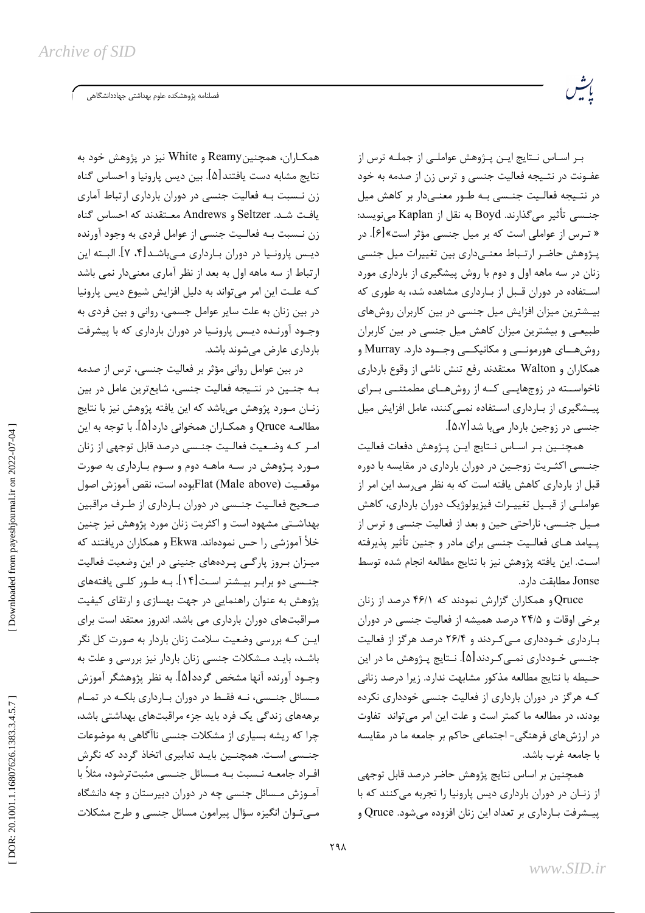.<br>فصلنامه پژوهشکده علوم بهداشتی جهاددانشگاهی

بـر اسـاس نـتايج ايـن پـژوهش عواملـي از جملـه ترس از عفـونت در نتـيجه فعاليت جنسى و ترس زن از صدمه به خود در نتيجه فعاليت جنسى به طور معنىدار بر كاهش ميل جنسی تأثیر میگذارند. Boyd به نقل از Kaplan مینویسد: « تـرس از عواملی است که بر میل جنسی مؤثر است»[۶]. در پـژوهش حاضـر ارتـباط معنـىدارى بين تغييرات ميل جنسى زنان در سه ماهه اول و دوم با روش پیشگیری از بارداری مورد استفاده در دوران قـبل از بـارداری مشاهده شد، به طوری که بیـشترین میزان افزایش میل جنسی در بین کاربران روشهای طبیعی و بیشترین میزان کاهش میل جنسی در بین کاربران روش هـای هورمونــی و مکانیکــی وجــود دارد. Murray و همکاران و Walton معتقدند رفع تنش ناشی از وقوع بارداری ناخواسته در زوجهاییی که از روشهای مطمئنی برای ییـشگیری از بـارداری اسـتفاده نمـی کنند، عامل افزایش میل جنسی در زوجین باردار میبا شد[۵،۷].

رت<br>موس

همچنـین بـر اسـاس نـتایج ایـن پـژوهش دفعات فعالیت جنسی اکثـریت زوجـین در دوران بارداری در مقایسه با دوره قبل از بارداری کاهش یافته است که به نظر می رسد این امر از عواملے از قبـیل تغییـرات فیزیولوژیک دوران بارداری، کاهش مـيل جنـسي، ناراحتي حين و بعد از فعاليت جنسي و ترس از يـيامد هـاي فعالـيت جنسي براي مادر و جنين تأثير يذيرفته است. این یافته پژوهش نیز با نتایج مطالعه انجام شده توسط Jonse مطابقت دارد.

Qruce و همکاران گزارش نمودند که ۴۶/۱ درصد از زنان برخی اوقات و ۲۴/۵ درصد همیشه از فعالیت جنسی در دوران بارداری خـودداری مـی کـردند و ۲۶/۴ درصد هرگز از فعالیت جنــسي خـودداري نمــي كـردند[۵]. نــتايج پــژوهش ما در اين حـيطه با نتايج مطالعه مذكور مشابهت ندارد. زيرا درصد زناني کـه هرگز در دوران بارداری از فعالیت جنسی خودداری نکرده بودند، در مطالعه ما کمتر است و علت این امر میتواند تفاوت در ارزشهای فرهنگی- اجتماعی حاکم بر جامعه ما در مقایسه با جامعه غرب باشد.

همچنین بر اساس نتایج پژوهش حاضر درصد قابل توجهی از زنبان در دوران بارداری دیس پارونیا را تجربه می کنند که با ییـشرفت بـارداری بر تعداد این زنان افزوده میشود. Qruce و

همکـاران، همچنینReamy و White نیز در پژوهش خود به نتايج مشابه دست يافتند[۵]. بين ديس پارونيا و احساس گناه زن نـسبت بـه فعالیت جنسی در دوران بارداری ارتباط آماری يافت شد. Seltzer و Andrews معتقدند كه احساس گناه زن نـسبت بـه فعالـيت جنسى از عوامل فردى به وجود آورنده ديــس پارونــيا در دوران بــارداري مــيuاشــد[۴، ۷]. البــته اين ارتباط از سه ماهه اول به بعد از نظر آماری معنیدار نمی باشد کـه علـت این امر میتواند به دلیل افزایش شیوع دیس پارونیا در بین زنان به علت سایر عوامل جسمی، روانی و بین فردی به وجود آورنـده ديـس پارونـيا در دوران بارداري كه با پيشرفت بارداری عارض می شوند باشد.

در بین عوامل روانی مؤثر بر فعالیت جنسی، ترس از صدمه بـه جنـين در نتـيجه فعاليت جنسى، شايعترين عامل در بين زنـان مــورد پژوهش مىباشد كه اين يافته پژوهش نيز با نتايج مطالعـه Qruce و همكــاران همخواني دارد[۵]. با توجه به اين امـر كـه وضـعيت فعالـيت جنـسي درصد قابل توجهي از زنان مورد پـژوهش در سـه ماهـه دوم و سـوم بـارداری به صورت موقعـيت Flat (Male above)بوده است، نقص آموزش اصول صحیح فعالیت جنسی در دوران بارداری از طـرف مراقبین بهداشتی مشهود است و اکثریت زنان مورد پژوهش نیز چنین خلأ آموزشي را حس نمودهاند. Ekwa و همكاران دريافتند كه میـزان بـروز پارگـی پـردههای جنینی در این وضعیت فعالیت جنــسی دو برابـر بیــشتر اسـت[۱۴]. بــه طــور کلــی یافتههای یژوهش به عنوان راهنمایی در جهت بهسازی و ارتقای کیفیت مـراقبتهای دوران بارداری می باشد. اندروز معتقد است برای ایـن کـه بررسی وضعیت سلامت زنان باردار به صورت کل نگر باشـد، بایـد مـشکلات جنسی زنان باردار نیز بررسی و علت به وجـود آورنده آنها مشخص گردد[۵]. به نظر پژوهشگر آموزش مــسائل جنــسي، نــه فقــط در دوران بــارداري بلكــه در تمــام برهههای زندگی یک فرد باید جزء مراقبتهای بهداشتی باشد، چرا که ریشه بسیاری از مشکلات جنسی ناآگاهی به موضوعات جنــسے اسـت. همچنــین بایـد تدابیری اتخاذ گردد که نگرش افـراد جامعــه نــسبت بــه مــسائل جنــسى مثبتترشود، مثلاً با آمـوزش مـسائل جنسی چه در دوران دبیرستان و چه دانشگاه مــی تــوان انگیزه سؤال پیرامون مسائل جنسی و طرح مشکلات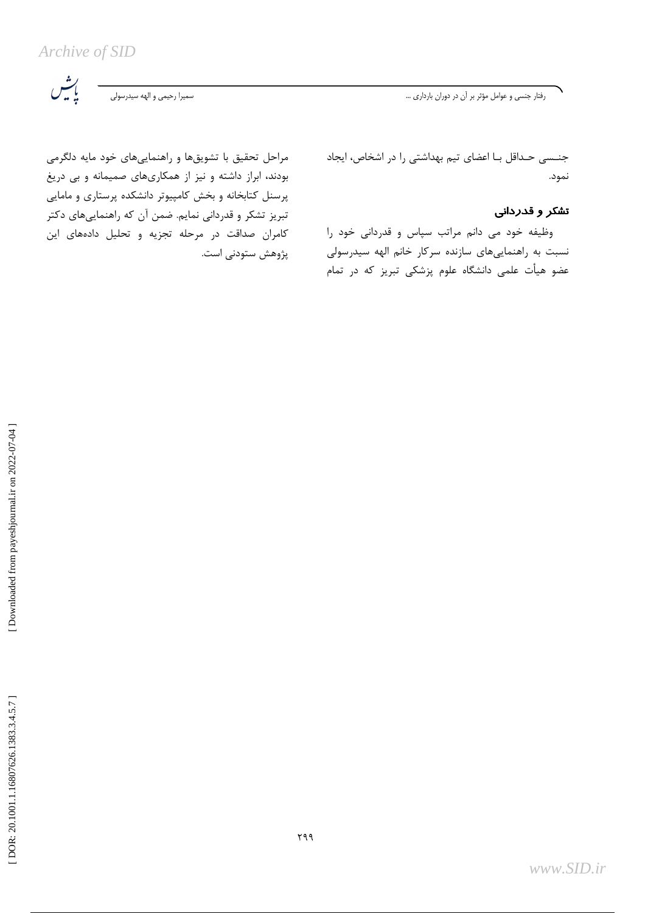Archive of SID

رفتار جنسی و عوامل مؤثر بر آن در دوران بارداری ...

ى<br>باشى

مراحل تحقیق با تشویقها و راهنماییهای خود مایه دلگرمی بودند، ابراز داشته و نیز از همکاریهای صمیمانه و بی دریغ پرسنل کتابخانه و بخش کامپیوتر دانشکده پرستاری و مامایی تبریز تشکر و قدردانی نمایم. ضمن آن که راهنماییهای دکتر كامران صداقت در مرحله تجزيه و تحليل دادههاى اين پژوهش ستودنی است. جنسی حـداقل بـا اعضای تیم بهداشتی را در اشخاص، ایجاد نمود.

## تشكر و قدردانى

وظیفه خود می دانم مراتب سپاس و قدردانی خود را نسبت به راهنماییهای سازنده سرکار خانم الهه سیدرسولی عضو هیأت علمی دانشگاه علوم پزشکی تبریز که در تمام

Downloaded from payeshjournal.ir on 2022-07-04 ]